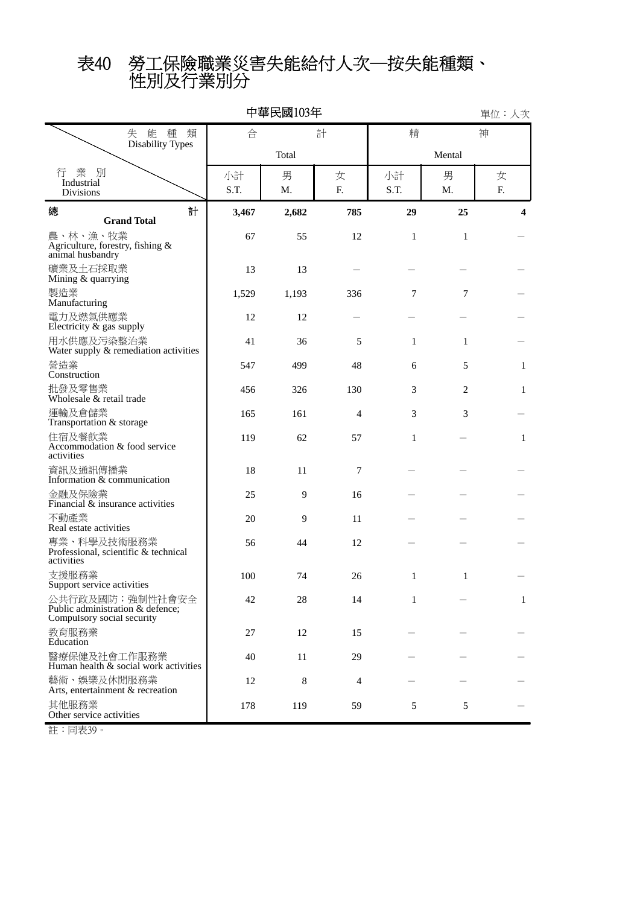性別及行業別分 表40 勞工保險職業災害失能給付人次─按失能種類、

| 中華民國103年<br>單位:人次                                                                  |            |         |                |              |                |         |  |  |  |  |  |
|------------------------------------------------------------------------------------|------------|---------|----------------|--------------|----------------|---------|--|--|--|--|--|
| 失 能 種<br>類                                                                         | 合          |         | 計              | 精            | 神              |         |  |  |  |  |  |
| <b>Disability Types</b>                                                            |            | Total   |                |              |                |         |  |  |  |  |  |
| 業<br>別<br>行<br>Industrial<br><b>Divisions</b>                                      | 小計<br>S.T. | 男<br>M. | 女<br>F.        | 小計<br>S.T.   | 男<br>M.        | 女<br>F. |  |  |  |  |  |
| 總<br>計<br><b>Grand Total</b>                                                       | 3,467      | 2,682   | 785            | 29           | 25             | 4       |  |  |  |  |  |
| 農、林、漁、牧業<br>Agriculture, forestry, fishing $\&$ animal husbandry                   | 67         | 55      | 12             | $\mathbf{1}$ | $\mathbf{1}$   |         |  |  |  |  |  |
| 礦業及土石採取業<br>Mining & quarrying                                                     | 13         | 13      |                |              |                |         |  |  |  |  |  |
| 製造業<br>Manufacturing                                                               | 1,529      | 1,193   | 336            | 7            | 7              |         |  |  |  |  |  |
| 電力及燃氣供應業<br>Electricity & gas supply                                               | 12         | 12      |                |              |                |         |  |  |  |  |  |
| 用水供應及污染整治業<br>Water supply & remediation activities                                | 41         | 36      | 5              | 1            | 1              |         |  |  |  |  |  |
| 營造業<br>Construction                                                                | 547        | 499     | 48             | 6            | 5              | 1       |  |  |  |  |  |
| 批發及零售業<br>Wholesale & retail trade                                                 | 456        | 326     | 130            | 3            | $\overline{2}$ | 1       |  |  |  |  |  |
| 運輸及倉儲業<br>Transportation & storage                                                 | 165        | 161     | 4              | 3            | 3              |         |  |  |  |  |  |
| 住宿及餐飲業<br>Accommodation & food service<br>activities                               | 119        | 62      | 57             | 1            |                | 1       |  |  |  |  |  |
| 資訊及通訊傳播業<br>Information & communication                                            | 18         | 11      | 7              |              |                |         |  |  |  |  |  |
| 金融及保險業<br>Financial & insurance activities                                         | 25         | 9       | 16             |              |                |         |  |  |  |  |  |
| 不動產業<br>Real estate activities                                                     | 20         | 9       | 11             |              |                |         |  |  |  |  |  |
| 專業、科學及技術服務業<br>Professional, scientific & technical<br>activities                  | 56         | 44      | 12             |              |                |         |  |  |  |  |  |
| 支援服務業<br>Support service activities                                                | 100        | 74      | 26             | 1            | 1              |         |  |  |  |  |  |
| 公共行政及國防; 強制性社會安全<br>Public administration & defence;<br>Compulsory social security | 42         | 28      | 14             | 1            |                | 1       |  |  |  |  |  |
| 教育服務業<br>Education                                                                 | 27         | 12      | 15             |              |                |         |  |  |  |  |  |
| 醫療保健及社會工作服務業<br>Human health & social work activities                              | 40         | 11      | 29             |              |                |         |  |  |  |  |  |
| 藝術、娛樂及休閒服務業<br>Arts, entertainment & recreation                                    | 12         | 8       | $\overline{4}$ |              |                |         |  |  |  |  |  |
| 其他服務業<br>Other service activities                                                  | 178        | 119     | 59             | 5            | $\mathfrak s$  |         |  |  |  |  |  |

註:同表39。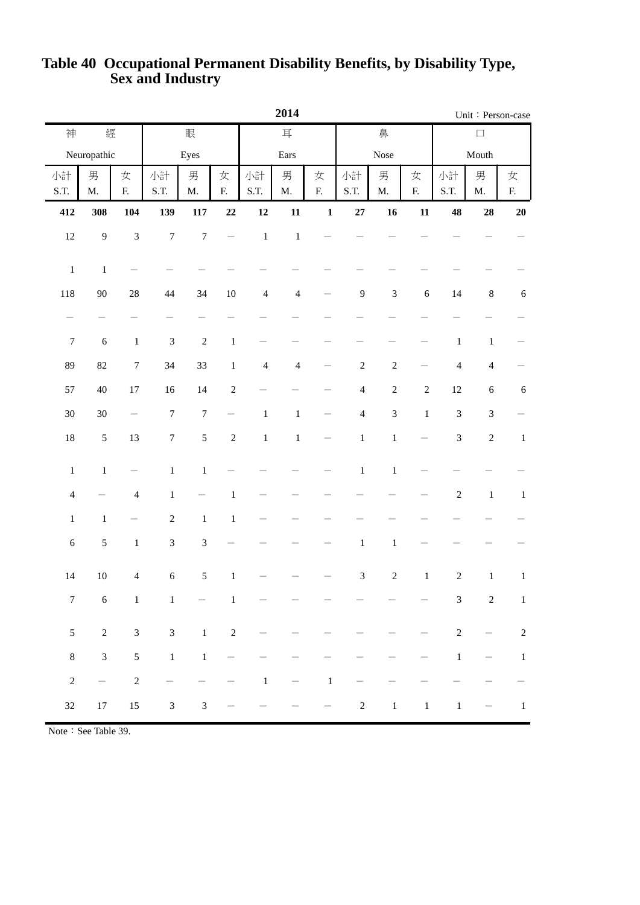|                          |                          |                             | 2014                        |                             |                |                |                |                |                |                             |                          |                | Unit: Person-case              |                          |
|--------------------------|--------------------------|-----------------------------|-----------------------------|-----------------------------|----------------|----------------|----------------|----------------|----------------|-----------------------------|--------------------------|----------------|--------------------------------|--------------------------|
| 神                        | 經                        |                             | 眼                           |                             |                | 耳              |                |                |                | 鼻                           |                          | $\Box$         |                                |                          |
|                          | Neuropathic              |                             |                             | Eyes                        |                |                | Ears           |                |                | Nose                        | Mouth                    |                |                                |                          |
| 小計<br>S.T.               | 男<br>$\mathbf{M}.$       | 女<br>${\bf F}$              | 小計<br>S.T.                  | 男<br>$\mathbf{M}.$          | 女<br>${\bf F}$ | 小計<br>S.T.     | 男<br>M.        | 女<br>${\bf F}$ | 小計<br>S.T.     | 男<br>$\mathbf{M}.$          | 女<br>${\bf F}$           | 小計<br>S.T.     | 男<br>$\mathbf{M}.$             | 女<br>F.                  |
| 412                      | 308                      | 104                         | 139                         | $117\,$                     | $\bf{22}$      | 12             | 11             | $\mathbf 1$    | $\bf 27$       | 16                          | ${\bf 11}$               | 48             | 28                             | ${\bf 20}$               |
| $12\,$                   | $\overline{9}$           | $\ensuremath{\mathfrak{Z}}$ | $\boldsymbol{7}$            | $\boldsymbol{7}$            |                | $\,1$          | $\,1\,$        |                |                |                             |                          |                |                                |                          |
| $\,1\,$                  | $\,1\,$                  |                             |                             |                             |                |                |                |                |                |                             |                          |                |                                |                          |
| 118                      | 90                       | $28\,$                      | 44                          | 34                          | $10\,$         | $\overline{4}$ | $\overline{4}$ |                | $\mathbf{9}$   | $\ensuremath{\mathfrak{Z}}$ | $\sqrt{6}$               | 14             | $\,8\,$                        | $\sqrt{6}$               |
| $\overline{\phantom{m}}$ | $\overline{\phantom{0}}$ | $\overline{\phantom{0}}$    |                             |                             |                |                |                |                |                |                             |                          |                |                                |                          |
| $\boldsymbol{7}$         | $\sqrt{6}$               | $\,1\,$                     | $\ensuremath{\mathfrak{Z}}$ | $\sqrt{2}$                  | $\,1$          |                |                |                |                |                             | $\overline{\phantom{0}}$ | $\,1\,$        | $\,1\,$                        | $\overline{\phantom{0}}$ |
| 89                       | $82\,$                   | $\boldsymbol{7}$            | 34                          | 33                          | $\,1\,$        | $\overline{4}$ | $\overline{4}$ |                | $\sqrt{2}$     | $\sqrt{2}$                  |                          | $\overline{4}$ | $\overline{4}$                 |                          |
| 57                       | $40\,$                   | $17\,$                      | $16\,$                      | $14\,$                      | $\sqrt{2}$     |                |                |                | $\overline{4}$ | $\sqrt{2}$                  | $\sqrt{2}$               | $12\,$         | $\sqrt{6}$                     | $\sqrt{6}$               |
| $30\,$                   | $30\,$                   | —                           | $\boldsymbol{7}$            | $\boldsymbol{7}$            | -              | $\,1$          | $\,1$          |                | $\overline{4}$ | $\mathfrak 3$               | $\,1\,$                  | $\mathfrak{Z}$ | $\mathfrak{Z}$                 |                          |
| 18                       | $\mathfrak s$            | 13                          | $\boldsymbol{7}$            | $\mathfrak s$               | $\sqrt{2}$     | $\,1$          | $\,1\,$        |                | $\,1\,$        | $\,1$                       |                          | $\mathfrak{Z}$ | $\sqrt{2}$                     | $\,1\,$                  |
| $\,1$                    | $\mathbf 1$              | $\overline{\phantom{0}}$    | $\,1\,$                     | $\mathbf 1$                 |                |                |                |                | $\mathbf 1$    | $\mathbf 1$                 |                          |                |                                |                          |
| $\overline{\mathcal{L}}$ |                          | $\overline{4}$              | $\,1$                       |                             | $\,1$          |                |                |                |                |                             |                          | $\sqrt{2}$     | $\,1\,$                        | $\,1\,$                  |
| $\,1$                    | $\,1\,$                  |                             | $\sqrt{2}$                  | $\,1\,$                     | $\,1$          |                |                |                |                |                             |                          |                |                                |                          |
| $\sqrt{6}$               | $\sqrt{5}$               | $\,1\,$                     | $\ensuremath{\mathfrak{Z}}$ | $\ensuremath{\mathfrak{Z}}$ |                |                |                |                | $\,1$          | $\,1$                       |                          |                |                                |                          |
| 14                       | $10\,$                   | $\overline{4}$              | $\sqrt{6}$                  | $\sqrt{5}$                  | $\,1$          |                |                |                | $\mathfrak{Z}$ | $\sqrt{2}$                  | $\mathbf{1}$             | $\sqrt{2}$     | $\,1$                          | $\mathbf{1}$             |
| $\boldsymbol{7}$         | $\sqrt{6}$               | $\,1\,$                     | $\mathbf{1}$                |                             | $\,1$          |                |                |                |                |                             |                          | $\mathfrak{Z}$ | $\overline{c}$                 | $\mathbf{1}$             |
| $\mathfrak s$            | $\sqrt{2}$               | $\ensuremath{\mathfrak{Z}}$ | $\sqrt{3}$                  | $1\,$                       | $\sqrt{2}$     |                |                |                |                |                             |                          | $\sqrt{2}$     | $\qquad \qquad \longleftarrow$ | $\sqrt{2}$               |
| $\,8$                    | $\mathfrak{Z}$           | $\mathfrak s$               | $\,1\,$                     | $\,1\,$                     |                |                |                |                |                |                             |                          | $\,1\,$        | $\overline{\phantom{0}}$       | $\,1\,$                  |
| $\sqrt{2}$               | $\overline{\phantom{0}}$ | $\overline{c}$              |                             |                             |                | $\,1$          |                | $\,1\,$        |                |                             |                          |                |                                |                          |
| $32\,$                   | $17\,$                   | $15\,$                      | $\sqrt{3}$                  | $\sqrt{3}$                  |                |                |                |                | $\sqrt{2}$     | $\,1\,$                     | $\,1$                    | $\,1$          |                                | $\mathbf{1}$             |

## **Sex and Industry Table 40 Occupational Permanent Disability Benefits, by Disability Type,**

Note: See Table 39.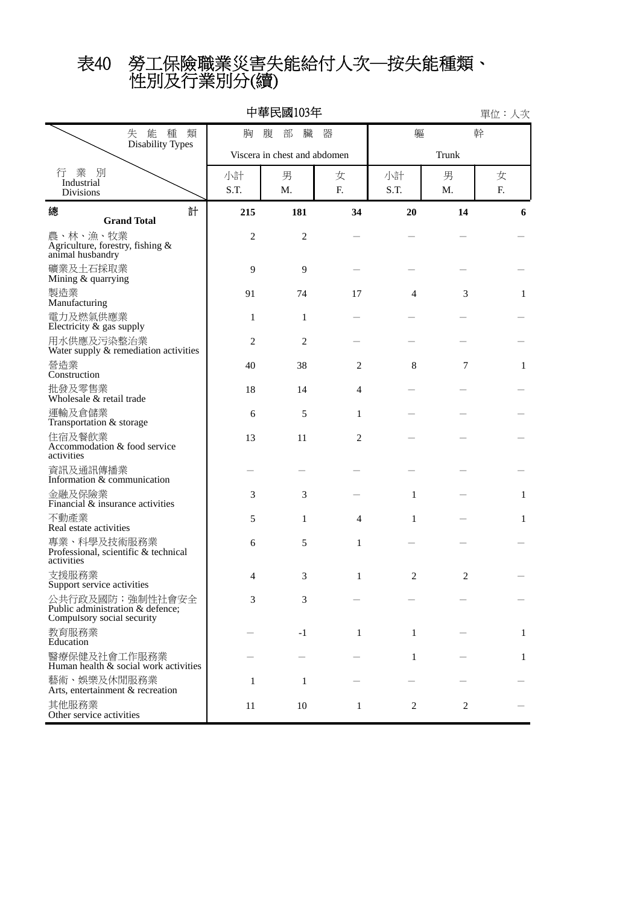# 性別及行業別分(續) 表40 勞工保險職業災害失能給付人次─按失能種類、

| 中華民國103年<br>單位:人次                                                                 |                            |                              |              |      |                |    |  |  |  |  |  |  |
|-----------------------------------------------------------------------------------|----------------------------|------------------------------|--------------|------|----------------|----|--|--|--|--|--|--|
| 能 種<br>失<br>類<br><b>Disability Types</b>                                          | 器<br>軀<br>胸<br>腹<br>部<br>臟 |                              |              |      |                |    |  |  |  |  |  |  |
|                                                                                   |                            | Viscera in chest and abdomen |              |      |                |    |  |  |  |  |  |  |
| 業 別<br>行<br>Industrial                                                            | 小計                         | 男                            | 女            | 小計   | 男              | 女  |  |  |  |  |  |  |
| Divisions                                                                         | S.T.                       | M.                           | F.           | S.T. | M.             | F. |  |  |  |  |  |  |
| 計<br>總<br><b>Grand Total</b>                                                      | 215                        | 181                          | 34           | 20   | 14             | 6  |  |  |  |  |  |  |
| 農、林、漁、牧業<br>Agriculture, forestry, fishing &<br>animal husbandry                  | $\mathfrak{2}$             | $\overline{2}$               |              |      |                |    |  |  |  |  |  |  |
| 礦業及土石採取業<br>Mining & quarrying                                                    | 9                          | 9                            |              |      |                |    |  |  |  |  |  |  |
| 製造業<br>Manufacturing                                                              | 91                         | 74                           | 17           | 4    | 3              | 1  |  |  |  |  |  |  |
| 電力及燃氣供應業<br>Electricity & gas supply                                              | 1                          | 1                            |              |      |                |    |  |  |  |  |  |  |
| 用水供應及污染整治業<br>Water supply & remediation activities                               | 2                          | 2                            |              |      |                |    |  |  |  |  |  |  |
| 營造業<br>Construction                                                               | 40                         | 38                           | 2            | 8    | 7              | 1  |  |  |  |  |  |  |
| 批發及零售業<br>Wholesale & retail trade                                                | 18                         | 14                           | 4            |      |                |    |  |  |  |  |  |  |
| 運輸及倉儲業<br>Transportation & storage                                                | 6                          | 5                            | 1            |      |                |    |  |  |  |  |  |  |
| 住宿及餐飲業<br>Accommodation & food service<br>activities                              | 13                         | 11                           | 2            |      |                |    |  |  |  |  |  |  |
| 資訊及通訊傳播業<br>Information & communication                                           |                            |                              |              |      |                |    |  |  |  |  |  |  |
| 金融及保險業<br>Financial & insurance activities                                        | 3                          | 3                            |              | 1    |                | 1  |  |  |  |  |  |  |
| 不動產業<br>Real estate activities                                                    | 5                          | 1                            | 4            | 1    |                | 1  |  |  |  |  |  |  |
| 專業、科學及技術服務業<br>Professional, scientific & technical<br>activities                 | 6                          | 5                            | 1            |      |                |    |  |  |  |  |  |  |
| 支援服務業<br>Support service activities                                               | 4                          | 3                            | 1            | 2    | 2              |    |  |  |  |  |  |  |
| 公共行政及國防;強制性社會安全<br>Public administration & defence;<br>Compulsory social security | 3                          | 3                            |              |      |                |    |  |  |  |  |  |  |
| 教育服務業<br>Education                                                                |                            | $-1$                         | $\mathbf{1}$ | 1    |                | 1  |  |  |  |  |  |  |
| 醫療保健及社會工作服務業<br>Human health $\&$ social work activities                          |                            |                              |              | 1    |                | 1  |  |  |  |  |  |  |
| 藝術、娛樂及休閒服務業<br>Arts, entertainment & recreation                                   | 1                          | 1                            |              |      |                |    |  |  |  |  |  |  |
| 其他服務業<br>Other service activities                                                 | 11                         | 10                           | 1            | 2    | $\overline{c}$ |    |  |  |  |  |  |  |